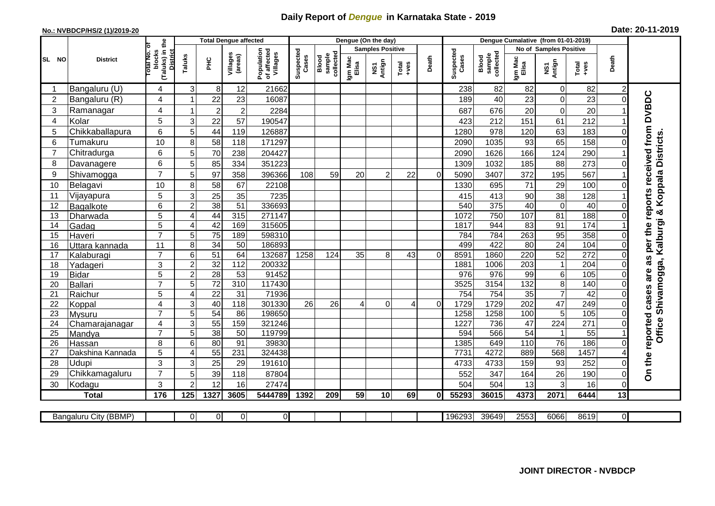## **Daily Report of** *Dengue* **in Karnataka State - 2019**

## **No.: NVBDCP/HS/2 (1)/2019-20 Date: 20-11-2019**

|                |                       |                                                             |                       |                 | <b>Total Dengue affected</b> |                                       |                    |                              |                  | Dengue (On the day)     |          |          |                    |                              |                  |                        |               |          |                                          |
|----------------|-----------------------|-------------------------------------------------------------|-----------------------|-----------------|------------------------------|---------------------------------------|--------------------|------------------------------|------------------|-------------------------|----------|----------|--------------------|------------------------------|------------------|------------------------|---------------|----------|------------------------------------------|
|                |                       |                                                             |                       |                 |                              |                                       |                    |                              |                  | <b>Samples Positive</b> |          |          |                    |                              |                  | No of Samples Positive |               |          |                                          |
| SL NO          | <b>District</b>       | (Taluks) in the<br>otal No. of<br>blocks<br><b>District</b> | Taluks                | <b>PHC</b>      | Villages<br>(areas)          | Population<br>of affected<br>Villages | Suspected<br>Cases | sample<br>collected<br>Blood | Igm Mac<br>Elisa | NS1<br>Antign           | $Totael$ | Death    | Suspected<br>Cases | sample<br>collected<br>Blood | Igm Mac<br>Elisa | NS1<br>Antign          | Total<br>+ves | Death    |                                          |
|                | Bangaluru (U)         | 4                                                           | 3                     | 8               | 12                           | 21662                                 |                    |                              |                  |                         |          |          | 238                | 82                           | 82               | $\mathbf 0$            | 82            | 2        |                                          |
| $\overline{2}$ | Bangaluru (R)         | 4                                                           |                       | 22              | 23                           | 16087                                 |                    |                              |                  |                         |          |          | 189                | 40                           | 23               | $\mathbf 0$            | 23            | $\Omega$ |                                          |
| 3              | Ramanagar             | 4                                                           |                       | $\overline{2}$  | $\overline{c}$               | 2284                                  |                    |                              |                  |                         |          |          | 687                | 676                          | 20               | $\mathbf 0$            | 20            |          | per the reports received from DVBDC      |
| 4              | Kolar                 | 5                                                           | 3                     | 22              | 57                           | 190547                                |                    |                              |                  |                         |          |          | 423                | 212                          | 151              | 61                     | 212           |          |                                          |
| 5              | Chikkaballapura       | $6\phantom{1}$                                              | 5                     | 44              | 119                          | 126887                                |                    |                              |                  |                         |          |          | 1280               | 978                          | 120              | 63                     | 183           |          |                                          |
| 6              | Tumakuru              | 10                                                          | 8                     | 58              | 118                          | 171297                                |                    |                              |                  |                         |          |          | 2090               | 1035                         | 93               | 65                     | 158           |          |                                          |
| 7              | Chitradurga           | 6                                                           | 5                     | 70              | 238                          | 204427                                |                    |                              |                  |                         |          |          | 2090               | 1626                         | 166              | 124                    | 290           |          |                                          |
| 8              | Davanagere            | 6                                                           | 5                     | 85              | 334                          | 351223                                |                    |                              |                  |                         |          |          | 1309               | 1032                         | 185              | 88                     | 273           | $\Omega$ |                                          |
| 9              | Shivamogga            | $\overline{7}$                                              | 5                     | 97              | 358                          | 396366                                | 108                | 59                           | 20               | $\mathcal{P}$           | 22       | $\Omega$ | 5090               | 3407                         | 372              | 195                    | 567           |          | Shivamogga, Kalburgi & Koppala Districts |
| 10             | Belagavi              | 10                                                          | 8                     | 58              | 67                           | 22108                                 |                    |                              |                  |                         |          |          | 1330               | 695                          | 71               | 29                     | 100           |          |                                          |
| 11             | Vijayapura            | 5                                                           | 3                     | 25              | 35                           | 7235                                  |                    |                              |                  |                         |          |          | 415                | 413                          | 90               | 38                     | 128           |          |                                          |
| 12             | Bagalkote             | $6\phantom{1}$                                              | $\overline{2}$        | 38              | 51                           | 336693                                |                    |                              |                  |                         |          |          | 540                | 375                          | $\overline{40}$  | $\pmb{0}$              | 40            | $\Omega$ |                                          |
| 13             | Dharwada              | 5                                                           | $\overline{4}$        | 44              | 315                          | 271147                                |                    |                              |                  |                         |          |          | 1072               | 750                          | 107              | 81                     | 188           | $\Omega$ |                                          |
| 14             | Gadag                 | $\overline{5}$                                              | $\boldsymbol{\Delta}$ | 42              | 169                          | 315605                                |                    |                              |                  |                         |          |          | 1817               | 944                          | 83               | 91                     | 174           |          |                                          |
| 15             | Haveri                | $\overline{7}$                                              | 5                     | 75              | 189                          | 598310                                |                    |                              |                  |                         |          |          | 784                | 784                          | 263              | 95                     | 358           | $\Omega$ |                                          |
| 16             | Uttara kannada        | 11                                                          | 8                     | $\overline{34}$ | $\overline{50}$              | 186893                                |                    |                              |                  |                         |          |          | 499                | 422                          | $\overline{80}$  | 24                     | 104           | 0        |                                          |
| 17             | Kalaburagi            | $\overline{7}$                                              | 6                     | 51              | 64                           | 132687                                | 1258               | 124                          | 35               | 8                       | 43       | $\Omega$ | 8591               | 1860                         | 220              | 52                     | 272           | $\Omega$ | 8g                                       |
| 18             | Yadageri              | 3                                                           | $\overline{2}$        | 32              | 112                          | 200332                                |                    |                              |                  |                         |          |          | 1881               | 1006                         | 203              | $\mathbf{1}$           | 204           |          |                                          |
| 19             | Bidar                 | 5                                                           | $\overline{2}$        | $\overline{28}$ | 53                           | 91452                                 |                    |                              |                  |                         |          |          | 976                | $\overline{976}$             | 99               | $\,6$                  | 105           | 0        | are                                      |
| 20             | Ballari               | $\overline{7}$                                              | 5                     | $\overline{72}$ | $\overline{310}$             | 117430                                |                    |                              |                  |                         |          |          | 3525               | 3154                         | 132              | $\overline{8}$         | 140           | $\Omega$ |                                          |
| 21             | Raichur               | $\overline{5}$                                              | $\overline{4}$        | $\overline{22}$ | 31                           | 71936                                 |                    |                              |                  |                         |          |          | 754                | 754                          | 35               | $\overline{7}$         | 42            | $\Omega$ | cases                                    |
| 22             | Koppal                | 4                                                           | 3                     | 40              | 118                          | 301330                                | 26                 | 26                           |                  | $\Omega$                | 4        | $\Omega$ | 1729               | 1729                         | $\overline{202}$ | 47                     | 249           | $\Omega$ |                                          |
| 23             | Mysuru                | $\overline{7}$                                              | 5                     | 54              | 86                           | 198650                                |                    |                              |                  |                         |          |          | 1258               | 1258                         | 100              | 5                      | 105           | $\Omega$ |                                          |
| 24             | Chamarajanagar        | 4                                                           | 3                     | $\overline{55}$ | 159                          | 321246                                |                    |                              |                  |                         |          |          | 1227               | 736                          | $\overline{47}$  | 224                    | 271           |          |                                          |
| 25             | Mandya                | $\overline{7}$                                              | 5                     | 38              | 50                           | 119799                                |                    |                              |                  |                         |          |          | 594                | 566                          | 54               | $\mathbf{1}$           | 55            |          | Office:                                  |
| 26             | Hassan                | 8                                                           | 6                     | 80              | 91                           | 39830                                 |                    |                              |                  |                         |          |          | 1385               | 649                          | 110              | $\overline{76}$        | 186           | $\Omega$ |                                          |
| 27             | Dakshina Kannada      | 5                                                           | 4                     | 55              | 231                          | 324438                                |                    |                              |                  |                         |          |          | 7731               | 4272                         | 889              | 568                    | 1457          |          |                                          |
| 28             | Udupi                 | 3                                                           | 3                     | 25              | 29                           | 191610                                |                    |                              |                  |                         |          |          | 4733               | 4733                         | 159              | 93                     | 252           | 0        | On the reported                          |
| 29             | Chikkamagaluru        | $\overline{7}$                                              | 5                     | 39              | 118                          | 87804                                 |                    |                              |                  |                         |          |          | 552                | 347                          | 164              | 26                     | 190           | $\Omega$ |                                          |
| 30             | Kodagu                | 3                                                           | $\mathcal{P}$         | 12              | 16                           | 27474                                 |                    |                              |                  |                         |          |          | 504                | 504                          | 13               | 3                      | 16            | $\Omega$ |                                          |
|                | <b>Total</b>          | 176                                                         | 125                   | 1327            | 3605                         | 5444789                               | 1392               | 209                          | 59               | 10                      | 69       | Οl       | 55293              | 36015                        | 4373             | 2071                   | 6444          | 13       |                                          |
|                | Bangaluru City (BBMP) |                                                             | $\Omega$              | $\Omega$        | $\overline{0}$               | $\Omega$                              |                    |                              |                  |                         |          |          | 196293             | 39649                        | 2553             | 6066                   | 8619          | $\Omega$ |                                          |
|                |                       |                                                             |                       |                 |                              |                                       |                    |                              |                  |                         |          |          |                    |                              |                  |                        |               |          |                                          |